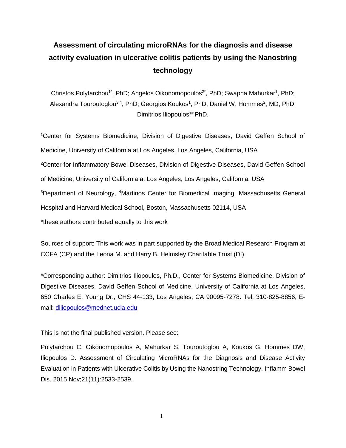# **Assessment of circulating microRNAs for the diagnosis and disease activity evaluation in ulcerative colitis patients by using the Nanostring technology**

Christos Polytarchou<sup>1\*</sup>, PhD; Angelos Oikonomopoulos<sup>2\*</sup>, PhD; Swapna Mahurkar<sup>1</sup>, PhD; Alexandra Touroutoglou<sup>3,4</sup>, PhD; Georgios Koukos<sup>1</sup>, PhD; Daniel W. Hommes<sup>2</sup>, MD, PhD; Dimitrios Iliopoulos<sup>1#</sup> PhD.

<sup>1</sup>Center for Systems Biomedicine, Division of Digestive Diseases, David Geffen School of Medicine, University of California at Los Angeles, Los Angeles, California, USA <sup>2</sup>Center for Inflammatory Bowel Diseases, Division of Digestive Diseases, David Geffen School of Medicine, University of California at Los Angeles, Los Angeles, California, USA <sup>3</sup>Department of Neurology, <sup>4</sup>Martinos Center for Biomedical Imaging, Massachusetts General Hospital and Harvard Medical School, Boston, Massachusetts 02114, USA \*these authors contributed equally to this work

Sources of support: This work was in part supported by the Broad Medical Research Program at CCFA (CP) and the Leona M. and Harry B. Helmsley Charitable Trust (DI).

\*Corresponding author: Dimitrios Iliopoulos, Ph.D., Center for Systems Biomedicine, Division of Digestive Diseases, David Geffen School of Medicine, University of California at Los Angeles, 650 Charles E. Young Dr., CHS 44-133, Los Angeles, CA 90095-7278. Tel: 310-825-8856; Email: [diliopoulos@mednet.ucla.edu](mailto:diliopoulos@mednet.ucla.edu)

This is not the final published version. Please see:

Polytarchou C, Oikonomopoulos A, Mahurkar S, Touroutoglou A, Koukos G, Hommes DW, Iliopoulos D. Assessment of Circulating MicroRNAs for the Diagnosis and Disease Activity Evaluation in Patients with Ulcerative Colitis by Using the Nanostring Technology. Inflamm Bowel Dis. 2015 Nov;21(11):2533-2539.

1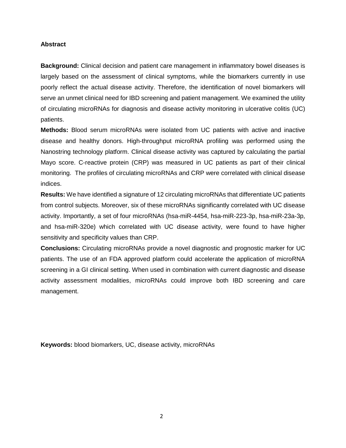## **Abstract**

**Background:** Clinical decision and patient care management in inflammatory bowel diseases is largely based on the assessment of clinical symptoms, while the biomarkers currently in use poorly reflect the actual disease activity. Therefore, the identification of novel biomarkers will serve an unmet clinical need for IBD screening and patient management. We examined the utility of circulating microRNAs for diagnosis and disease activity monitoring in ulcerative colitis (UC) patients.

**Methods:** Blood serum microRNAs were isolated from UC patients with active and inactive disease and healthy donors. High-throughput microRNA profiling was performed using the Nanostring technology platform. Clinical disease activity was captured by calculating the partial Mayo score. C-reactive protein (CRP) was measured in UC patients as part of their clinical monitoring. The profiles of circulating microRNAs and CRP were correlated with clinical disease indices.

**Results:** We have identified a signature of 12 circulating microRNAs that differentiate UC patients from control subjects. Moreover, six of these microRNAs significantly correlated with UC disease activity. Importantly, a set of four microRNAs (hsa-miR-4454, hsa-miR-223-3p, hsa-miR-23a-3p, and hsa-miR-320e) which correlated with UC disease activity, were found to have higher sensitivity and specificity values than CRP.

**Conclusions:** Circulating microRNAs provide a novel diagnostic and prognostic marker for UC patients. The use of an FDA approved platform could accelerate the application of microRNA screening in a GI clinical setting. When used in combination with current diagnostic and disease activity assessment modalities, microRNAs could improve both IBD screening and care management.

**Keywords:** blood biomarkers, UC, disease activity, microRNAs

2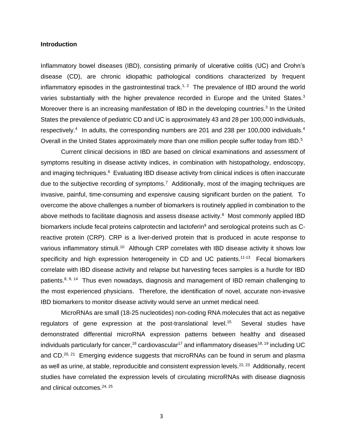### **Introduction**

Inflammatory bowel diseases (IBD), consisting primarily of ulcerative colitis (UC) and Crohn's disease (CD), are chronic idiopathic pathological conditions characterized by frequent inflammatory episodes in the gastrointestinal track.<sup>1, 2</sup> The prevalence of IBD around the world varies substantially with the higher prevalence recorded in Europe and the United States.<sup>3</sup> Moreover there is an increasing manifestation of IBD in the developing countries.<sup>3</sup> In the United States the prevalence of pediatric CD and UC is approximately 43 and 28 per 100,000 individuals, respectively.<sup>4</sup> In adults, the corresponding numbers are 201 and 238 per 100,000 individuals.<sup>4</sup> Overall in the United States approximately more than one million people suffer today from IBD.<sup>5</sup>

Current clinical decisions in IBD are based on clinical examinations and assessment of symptoms resulting in disease activity indices, in combination with histopathology, endoscopy, and imaging techniques.<sup>6</sup> Evaluating IBD disease activity from clinical indices is often inaccurate due to the subjective recording of symptoms.<sup>7</sup> Additionally, most of the imaging techniques are invasive, painful, time-consuming and expensive causing significant burden on the patient. To overcome the above challenges a number of biomarkers is routinely applied in combination to the above methods to facilitate diagnosis and assess disease activity.<sup>8</sup> Most commonly applied IBD biomarkers include fecal proteins calprotectin and lactoferin<sup>9</sup> and serological proteins such as Creactive protein (CRP). CRP is a liver-derived protein that is produced in acute response to various inflammatory stimuli.<sup>10</sup> Although CRP correlates with IBD disease activity it shows low specificity and high expression heterogeneity in CD and UC patients.<sup>11-13</sup> Fecal biomarkers correlate with IBD disease activity and relapse but harvesting feces samples is a hurdle for IBD patients.<sup>8, 9, 14</sup> Thus even nowadays, diagnosis and management of IBD remain challenging to the most experienced physicians. Therefore, the identification of novel, accurate non-invasive IBD biomarkers to monitor disease activity would serve an unmet medical need.

MicroRNAs are small (18-25 nucleotides) non-coding RNA molecules that act as negative regulators of gene expression at the post-translational level.<sup>15</sup> Several studies have demonstrated differential microRNA expression patterns between healthy and diseased individuals particularly for cancer,<sup>16</sup> cardiovascular<sup>17</sup> and inflammatory diseases<sup>18, 19</sup> including UC and CD.<sup>20, 21</sup> Emerging evidence suggests that microRNAs can be found in serum and plasma as well as urine, at stable, reproducible and consistent expression levels.<sup>22, 23</sup> Additionally, recent studies have correlated the expression levels of circulating microRNAs with disease diagnosis and clinical outcomes. 24, 25

3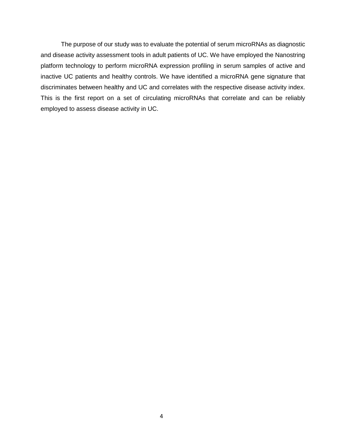The purpose of our study was to evaluate the potential of serum microRNAs as diagnostic and disease activity assessment tools in adult patients of UC. We have employed the Nanostring platform technology to perform microRNA expression profiling in serum samples of active and inactive UC patients and healthy controls. We have identified a microRNA gene signature that discriminates between healthy and UC and correlates with the respective disease activity index. This is the first report on a set of circulating microRNAs that correlate and can be reliably employed to assess disease activity in UC.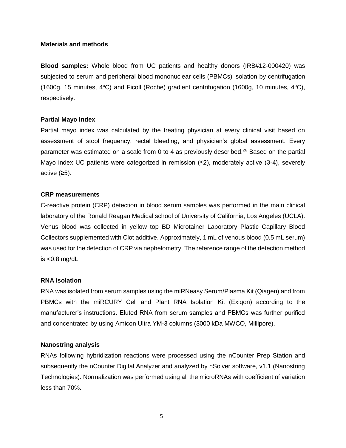## **Materials and methods**

**Blood samples:** Whole blood from UC patients and healthy donors (IRB#12-000420) was subjected to serum and peripheral blood mononuclear cells (PBMCs) isolation by centrifugation (1600g, 15 minutes,  $4^{\circ}$ C) and Ficoll (Roche) gradient centrifugation (1600g, 10 minutes,  $4^{\circ}$ C), respectively.

# **Partial Mayo index**

Partial mayo index was calculated by the treating physician at every clinical visit based on assessment of stool frequency, rectal bleeding, and physician's global assessment. Every parameter was estimated on a scale from 0 to 4 as previously described.<sup>26</sup> Based on the partial Mayo index UC patients were categorized in remission (≤2), moderately active (3-4), severely active (≥5).

# **CRP measurements**

C-reactive protein (CRP) detection in blood serum samples was performed in the main clinical laboratory of the Ronald Reagan Medical school of University of California, Los Angeles (UCLA). Venus blood was collected in yellow top BD Microtainer Laboratory Plastic Capillary Blood Collectors supplemented with Clot additive. Approximately, 1 mL of venous blood (0.5 mL serum) was used for the detection of CRP via nephelometry. The reference range of the detection method is <0.8 mg/dL.

# **RNA isolation**

RNA was isolated from serum samples using the miRNeasy Serum/Plasma Kit (Qiagen) and from PBMCs with the miRCURY Cell and Plant RNA Isolation Kit (Exiqon) according to the manufacturer's instructions. Eluted RNA from serum samples and PBMCs was further purified and concentrated by using Amicon Ultra YM-3 columns (3000 kDa MWCO, Millipore).

# **Nanostring analysis**

RNAs following hybridization reactions were processed using the nCounter Prep Station and subsequently the nCounter Digital Analyzer and analyzed by nSolver software, v1.1 (Nanostring Technologies). Normalization was performed using all the microRNAs with coefficient of variation less than 70%.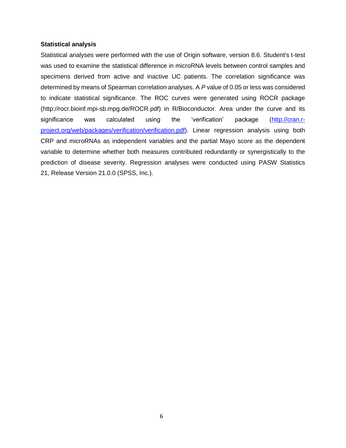## **Statistical analysis**

Statistical analyses were performed with the use of Origin software, version 8.6. Student's t-test was used to examine the statistical difference in microRNA levels between control samples and specimens derived from active and inactive UC patients. The correlation significance was determined by means of Spearman correlation analyses. A *P* value of 0.05 or less was considered to indicate statistical significance. The ROC curves were generated using ROCR package (http://rocr.bioinf.mpi-sb.mpg.de/ROCR.pdf) in R/Bioconductor. Area under the curve and its significance was calculated using the 'verification' package [\(http://cran.r](http://cran.r-project.org/web/packages/verification/verification.pdf)[project.org/web/packages/verification/verification.pdf\)](http://cran.r-project.org/web/packages/verification/verification.pdf). Linear regression analysis using both CRP and microRNAs as independent variables and the partial Mayo score as the dependent variable to determine whether both measures contributed redundantly or synergistically to the prediction of disease severity. Regression analyses were conducted using PASW Statistics 21, Release Version 21.0.0 (SPSS, Inc.).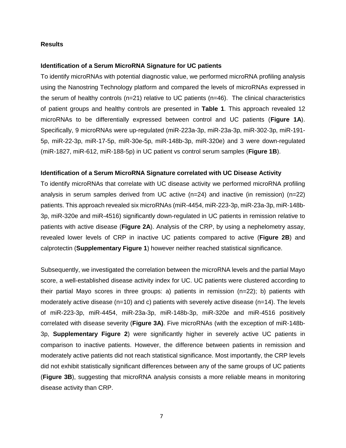## **Results**

## **Identification of a Serum MicroRNA Signature for UC patients**

To identify microRNAs with potential diagnostic value, we performed microRNA profiling analysis using the Nanostring Technology platform and compared the levels of microRNAs expressed in the serum of healthy controls (n=21) relative to UC patients (n=46). The clinical characteristics of patient groups and healthy controls are presented in **Table 1**. This approach revealed 12 microRNAs to be differentially expressed between control and UC patients (**Figure 1A**). Specifically, 9 microRNAs were up-regulated (miR-223a-3p, miR-23a-3p, miR-302-3p, miR-191- 5p, miR-22-3p, miR-17-5p, miR-30e-5p, miR-148b-3p, miR-320e) and 3 were down-regulated (miR-1827, miR-612, miR-188-5p) in UC patient vs control serum samples (**Figure 1B**).

## **Identification of a Serum MicroRNA Signature correlated with UC Disease Activity**

To identify microRNAs that correlate with UC disease activity we performed microRNA profiling analysis in serum samples derived from UC active (n=24) and inactive (in remission) (n=22) patients. This approach revealed six microRNAs (miR-4454, miR-223-3p, miR-23a-3p, miR-148b-3p, miR-320e and miR-4516) significantly down-regulated in UC patients in remission relative to patients with active disease (**Figure 2A**). Analysis of the CRP, by using a nephelometry assay, revealed lower levels of CRP in inactive UC patients compared to active (**Figure 2B**) and calprotectin (**Supplementary Figure 1**) however neither reached statistical significance.

Subsequently, we investigated the correlation between the microRNA levels and the partial Mayo score, a well-established disease activity index for UC. UC patients were clustered according to their partial Mayo scores in three groups: a) patients in remission (n=22); b) patients with moderately active disease (n=10) and c) patients with severely active disease (n=14). The levels of miR-223-3p, miR-4454, miR-23a-3p, miR-148b-3p, miR-320e and miR-4516 positively correlated with disease severity (**Figure 3A)**. Five microRNAs (with the exception of miR-148b-3p, **Supplementary Figure 2**) were significantly higher in severely active UC patients in comparison to inactive patients. However, the difference between patients in remission and moderately active patients did not reach statistical significance. Most importantly, the CRP levels did not exhibit statistically significant differences between any of the same groups of UC patients (**Figure 3B**), suggesting that microRNA analysis consists a more reliable means in monitoring disease activity than CRP.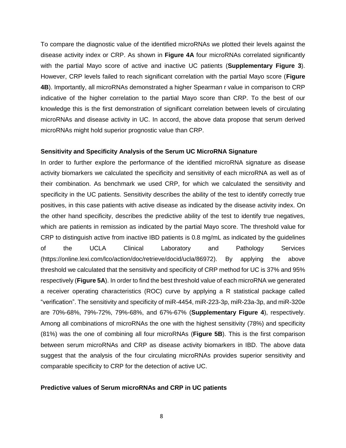To compare the diagnostic value of the identified microRNAs we plotted their levels against the disease activity index or CRP. As shown in **Figure 4A** four microRNAs correlated significantly with the partial Mayo score of active and inactive UC patients (**Supplementary Figure 3**). However, CRP levels failed to reach significant correlation with the partial Mayo score (**Figure 4B**). Importantly, all microRNAs demonstrated a higher Spearman r value in comparison to CRP indicative of the higher correlation to the partial Mayo score than CRP. To the best of our knowledge this is the first demonstration of significant correlation between levels of circulating microRNAs and disease activity in UC. In accord, the above data propose that serum derived microRNAs might hold superior prognostic value than CRP.

#### **Sensitivity and Specificity Analysis of the Serum UC MicroRNA Signature**

In order to further explore the performance of the identified microRNA signature as disease activity biomarkers we calculated the specificity and sensitivity of each microRNA as well as of their combination. As benchmark we used CRP, for which we calculated the sensitivity and specificity in the UC patients. Sensitivity describes the ability of the test to identify correctly true positives, in this case patients with active disease as indicated by the disease activity index. On the other hand specificity, describes the predictive ability of the test to identify true negatives, which are patients in remission as indicated by the partial Mayo score. The threshold value for CRP to distinguish active from inactive IBD patients is 0.8 mg/mL as indicated by the guidelines of the UCLA Clinical Laboratory and Pathology Services [\(https://online.lexi.com/lco/action/doc/retrieve/docid/ucla/86972\)](https://online.lexi.com/lco/action/doc/retrieve/docid/ucla/86972). By applying the above threshold we calculated that the sensitivity and specificity of CRP method for UC is 37% and 95% respectively (**Figure 5A**). In order to find the best threshold value of each microRNA we generated a receiver operating characteristics (ROC) curve by applying a R statistical package called "verification". The sensitivity and specificity of miR-4454, miR-223-3p, miR-23a-3p, and miR-320e are 70%-68%, 79%-72%, 79%-68%, and 67%-67% (**Supplementary Figure 4**), respectively. Among all combinations of microRNAs the one with the highest sensitivity (78%) and specificity (81%) was the one of combining all four microRNAs (**Figure 5B**). This is the first comparison between serum microRNAs and CRP as disease activity biomarkers in IBD. The above data suggest that the analysis of the four circulating microRNAs provides superior sensitivity and comparable specificity to CRP for the detection of active UC.

#### **Predictive values of Serum microRNAs and CRP in UC patients**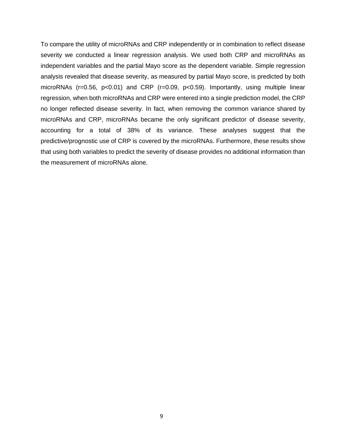To compare the utility of microRNAs and CRP independently or in combination to reflect disease severity we conducted a linear regression analysis. We used both CRP and microRNAs as independent variables and the partial Mayo score as the dependent variable. Simple regression analysis revealed that disease severity, as measured by partial Mayo score, is predicted by both microRNAs (r=0.56, p<0.01) and CRP (r=0.09, p<0.59). Importantly, using multiple linear regression, when both microRNAs and CRP were entered into a single prediction model, the CRP no longer reflected disease severity. In fact, when removing the common variance shared by microRNAs and CRP, microRNAs became the only significant predictor of disease severity, accounting for a total of 38% of its variance. These analyses suggest that the predictive/prognostic use of CRP is covered by the microRNAs. Furthermore, these results show that using both variables to predict the severity of disease provides no additional information than the measurement of microRNAs alone.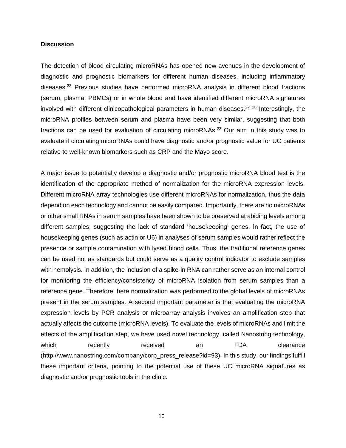## **Discussion**

The detection of blood circulating microRNAs has opened new avenues in the development of diagnostic and prognostic biomarkers for different human diseases, including inflammatory diseases.<sup>22</sup> Previous studies have performed microRNA analysis in different blood fractions (serum, plasma, PBMCs) or in whole blood and have identified different microRNA signatures involved with different clinicopathological parameters in human diseases.<sup>27, 28</sup> Interestingly, the microRNA profiles between serum and plasma have been very similar, suggesting that both fractions can be used for evaluation of circulating microRNAs.<sup>22</sup> Our aim in this study was to evaluate if circulating microRNAs could have diagnostic and/or prognostic value for UC patients relative to well-known biomarkers such as CRP and the Mayo score.

A major issue to potentially develop a diagnostic and/or prognostic microRNA blood test is the identification of the appropriate method of normalization for the microRNA expression levels. Different microRNA array technologies use different microRNAs for normalization, thus the data depend on each technology and cannot be easily compared. Importantly, there are no microRNAs or other small RNAs in serum samples have been shown to be preserved at abiding levels among different samples, suggesting the lack of standard 'housekeeping' genes. In fact, the use of housekeeping genes (such as actin or U6) in analyses of serum samples would rather reflect the presence or sample contamination with lysed blood cells. Thus, the traditional reference genes can be used not as standards but could serve as a quality control indicator to exclude samples with hemolysis. In addition, the inclusion of a spike-in RNA can rather serve as an internal control for monitoring the efficiency/consistency of microRNA isolation from serum samples than a reference gene. Therefore, here normalization was performed to the global levels of microRNAs present in the serum samples. A second important parameter is that evaluating the microRNA expression levels by PCR analysis or microarray analysis involves an amplification step that actually affects the outcome (microRNA levels). To evaluate the levels of microRNAs and limit the effects of the amplification step, we have used novel technology, called Nanostring technology, which recently received an FDA clearance (http://www.nanostring.com/company/corp\_press\_release?id=93). In this study, our findings fulfill these important criteria, pointing to the potential use of these UC microRNA signatures as diagnostic and/or prognostic tools in the clinic.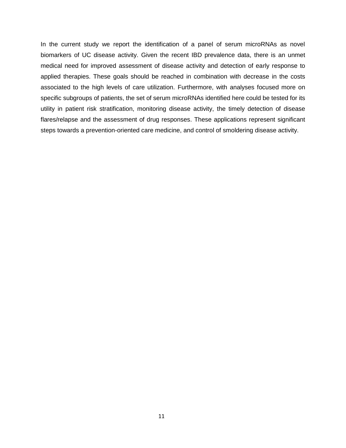In the current study we report the identification of a panel of serum microRNAs as novel biomarkers of UC disease activity. Given the recent IBD prevalence data, there is an unmet medical need for improved assessment of disease activity and detection of early response to applied therapies. These goals should be reached in combination with decrease in the costs associated to the high levels of care utilization. Furthermore, with analyses focused more on specific subgroups of patients, the set of serum microRNAs identified here could be tested for its utility in patient risk stratification, monitoring disease activity, the timely detection of disease flares/relapse and the assessment of drug responses. These applications represent significant steps towards a prevention-oriented care medicine, and control of smoldering disease activity.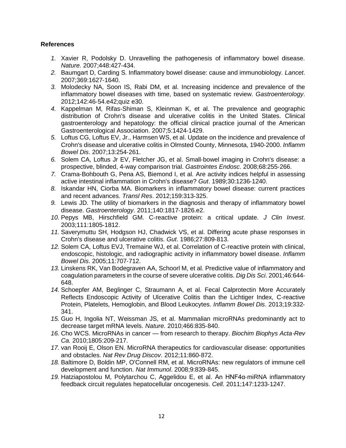# **References**

- *1.* Xavier R, Podolsky D. Unravelling the pathogenesis of inflammatory bowel disease. *Nature.* 2007;448:427‐434.
- *2.* Baumgart D, Carding S. Inflammatory bowel disease: cause and immunobiology. *Lancet*. 2007;369:1627‐1640.
- *3.* Molodecky NA, Soon IS, Rabi DM, et al. Increasing incidence and prevalence of the inflammatory bowel diseases with time, based on systematic review. *Gastroenterology*. 2012;142:46‐54.e42;quiz e30.
- *4.* Kappelman M, Rifas‐Shiman S, Kleinman K, et al. The prevalence and geographic distribution of Crohn's disease and ulcerative colitis in the United States. Clinical gastroenterology and hepatology: the official clinical practice journal of the American Gastroenterological Association. 2007;5:1424‐1429.
- *5.* Loftus CG, Loftus EV, Jr., Harmsen WS, et al. Update on the incidence and prevalence of Crohn's disease and ulcerative colitis in Olmsted County, Minnesota, 1940‐2000. *Inflamm Bowel Dis*. 2007;13:254‐261.
- *6.* Solem CA, Loftus Jr EV, Fletcher JG, et al. Small‐bowel imaging in Crohn's disease: a prospective, blinded, 4‐way comparison trial. *Gastrointes Endosc*. 2008;68:255‐266.
- *7.* Crama‐Bohbouth G, Pena AS, Biemond I, et al. Are activity indices helpful in assessing active intestinal inflammation in Crohn's disease? *Gut*. 1989;30:1236‐1240.
- *8.* Iskandar HN, Ciorba MA. Biomarkers in inflammatory bowel disease: current practices and recent advances. *Transl Res*. 2012;159:313‐325.
- *9.* Lewis JD. The utility of biomarkers in the diagnosis and therapy of inflammatory bowel disease. *Gastroenterology*. 2011;140:1817‐1826.e2.
- *10.* Pepys MB, Hirschfield GM. C‐reactive protein: a critical update. *J Clin Invest*. 2003;111:1805‐1812.
- *11.* Saverymuttu SH, Hodgson HJ, Chadwick VS, et al. Differing acute phase responses in Crohn's disease and ulcerative colitis. *Gut*. 1986;27:809‐813.
- 12. Solem CA, Loftus EVJ, Tremaine WJ, et al. Correlation of C-reactive protein with clinical, endoscopic, histologic, and radiographic activity in inflammatory bowel disease. *Inflamm Bowel Dis*. 2005;11:707‐712.
- *13.* Linskens RK, Van Bodegraven AA, Schoorl M, et al. Predictive value of inflammatory and coagulation parameters in the course of severe ulcerative colitis. *Dig Dis Sci*. 2001;46:644‐ 648.
- *14.* Schoepfer AM, Beglinger C, Straumann A, et al. Fecal Calprotectin More Accurately Reflects Endoscopic Activity of Ulcerative Colitis than the Lichtiger Index, C‐reactive Protein, Platelets, Hemoglobin, and Blood Leukocytes. *Inflamm Bowel Dis*. 2013;19:332‐ 341.
- *15.* Guo H, Ingolia NT, Weissman JS, et al. Mammalian microRNAs predominantly act to decrease target mRNA levels. *Nature.* 2010;466:835‐840.
- *16.* Cho WCS. MicroRNAs in cancer from research to therapy. *Biochim Biophys Acta*‐*Rev Ca.* 2010;1805:209‐217.
- *17.* van Rooij E, Olson EN. MicroRNA therapeutics for cardiovascular disease: opportunities and obstacles. *Nat Rev Drug Discov*. 2012;11:860‐872.
- *18.* Baltimore D, Boldin MP, O'Connell RM, et al. MicroRNAs: new regulators of immune cell development and function. *Nat Immunol*. 2008;9:839‐845.
- *19.* Hatziapostolou M, Polytarchou C, Aggelidou E, et al. An HNF4α‐miRNA inflammatory feedback circuit regulates hepatocellular oncogenesis. *Cell.* 2011;147:1233‐1247.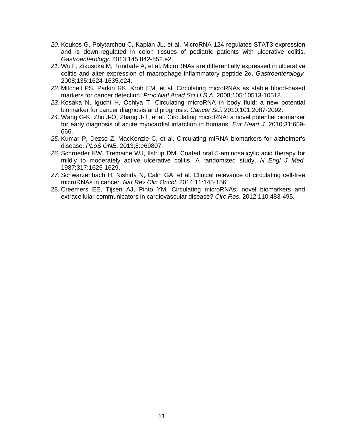- *20.* Koukos G, Polytarchou C, Kaplan JL, et al. MicroRNA‐124 regulates STAT3 expression and is down‐regulated in colon tissues of pediatric patients with ulcerative colitis. *Gastroenterology*. 2013;145:842‐852.e2.
- *21.* Wu F, Zikusoka M, Trindade A, et al. MicroRNAs are differentially expressed in ulcerative colitis and alter expression of macrophage inflammatory peptide‐2α. *Gastroenterology.*  2008;135:1624‐1635.e24.
- *22.* Mitchell PS, Parkin RK, Kroh EM, et al. Circulating microRNAs as stable blood‐based markers for cancer detection. *Proc Natl Acad Sci U S A.* 2008;105:10513‐10518.
- *23.* Kosaka N, Iguchi H, Ochiya T. Circulating microRNA in body fluid: a new potential biomarker for cancer diagnosis and prognosis. *Cancer Sci*. 2010;101:2087‐2092.
- *24.* Wang G‐K, Zhu J‐Q, Zhang J‐T, et al. Circulating microRNA: a novel potential biomarker for early diagnosis of acute myocardial infarction in humans. *Eur Heart J*. 2010;31:659‐ 666.
- *25.* Kumar P, Dezso Z, MacKenzie C, et al. Circulating miRNA biomarkers for alzheimer's disease. *PLoS ONE*. 2013;8:e69807.
- *26.* Schroeder KW, Tremaine WJ, Ilstrup DM. Coated oral 5‐aminosalicylic acid therapy for mildly to moderately active ulcerative colitis. A randomized study. *N Engl J Med.* 1987;317:1625‐1629.
- *27.* Schwarzenbach H, Nishida N, Calin GA, et al. Clinical relevance of circulating cell‐free microRNAs in cancer. *Nat Rev Clin Oncol*. 2014;11:145‐156.
- 28. Creemers EE, Tijsen AJ, Pinto YM. Circulating microRNAs: novel biomarkers and extracellular communicators in cardiovascular disease? *Circ Res*. 2012;110:483-495.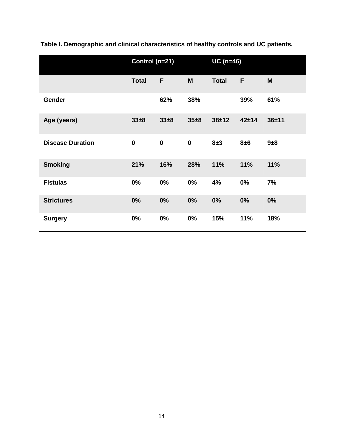|                         | Control (n=21) |             |          | $UC$ (n=46)  |           |           |
|-------------------------|----------------|-------------|----------|--------------|-----------|-----------|
|                         | <b>Total</b>   | F           | M        | <b>Total</b> | F         | M         |
| Gender                  |                | 62%         | 38%      |              | 39%       | 61%       |
| Age (years)             | $33\pm8$       | 33±8        | $35 + 8$ | $38 + 12$    | $42 + 14$ | $36 + 11$ |
| <b>Disease Duration</b> | $\bf{0}$       | $\mathbf 0$ | $\bf{0}$ | 8±3          | 8±6       | 9±8       |
| <b>Smoking</b>          | 21%            | 16%         | 28%      | 11%          | 11%       | 11%       |
| <b>Fistulas</b>         | 0%             | 0%          | 0%       | 4%           | 0%        | 7%        |
| <b>Strictures</b>       | 0%             | 0%          | 0%       | 0%           | 0%        | 0%        |
| <b>Surgery</b>          | 0%             | 0%          | 0%       | 15%          | 11%       | 18%       |

**Table I. Demographic and clinical characteristics of healthy controls and UC patients.**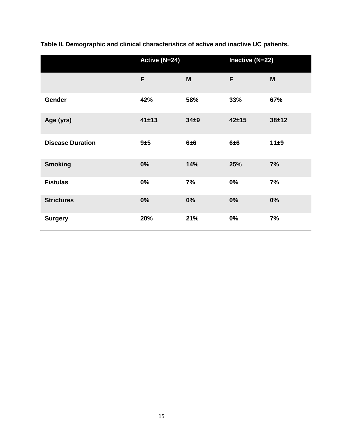|                         | Active (N=24) |          | Inactive (N=22) |           |  |
|-------------------------|---------------|----------|-----------------|-----------|--|
|                         | F             | M        | F               | M         |  |
| Gender                  | 42%           | 58%      | 33%             | 67%       |  |
| Age (yrs)               | 41±13         | $34\pm9$ | $42 + 15$       | $38 + 12$ |  |
| <b>Disease Duration</b> | 9±5           | 6±6      | 6±6             | 11±9      |  |
| <b>Smoking</b>          | 0%            | 14%      | 25%             | 7%        |  |
| <b>Fistulas</b>         | 0%            | 7%       | 0%              | 7%        |  |
| <b>Strictures</b>       | 0%            | 0%       | 0%              | 0%        |  |
| <b>Surgery</b>          | 20%           | 21%      | 0%              | 7%        |  |

**Table II. Demographic and clinical characteristics of active and inactive UC patients.**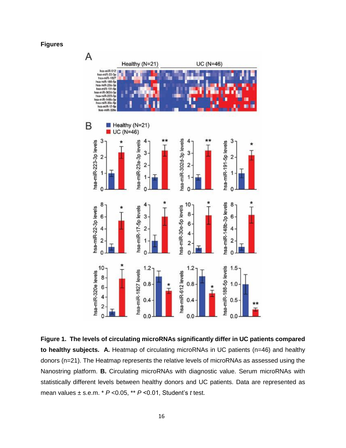**Figures**



**Figure 1. The levels of circulating microRNAs significantly differ in UC patients compared to healthy subjects. A.** Heatmap of circulating microRNAs in UC patients (n=46) and healthy donors (n=21). The Heatmap represents the relative levels of microRNAs as assessed using the Nanostring platform. **B.** Circulating microRNAs with diagnostic value. Serum microRNAs with statistically different levels between healthy donors and UC patients. Data are represented as mean values ± s.e.m. \* *P* <0.05, \*\* *P* <0.01, Student's *t* test.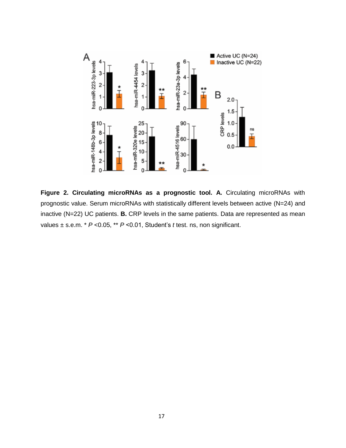

**Figure 2. Circulating microRNAs as a prognostic tool. A.** Circulating microRNAs with prognostic value. Serum microRNAs with statistically different levels between active (N=24) and inactive (N=22) UC patients. **B.** CRP levels in the same patients. Data are represented as mean values ± s.e.m. \* *P* <0.05, \*\* *P* <0.01, Student's *t* test. ns, non significant.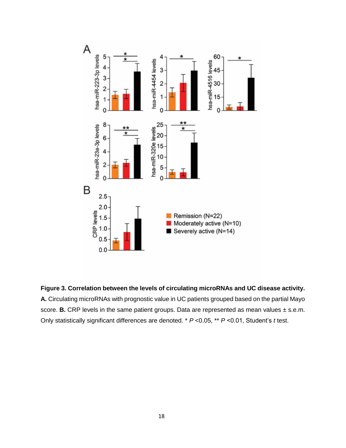

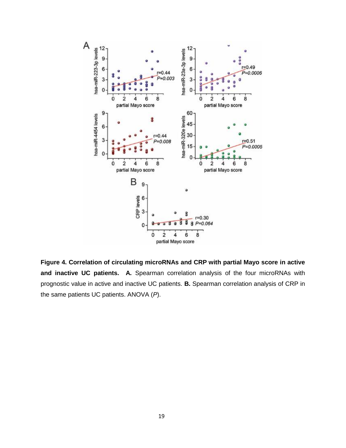

**Figure 4. Correlation of circulating microRNAs and CRP with partial Mayo score in active and inactive UC patients. A.** Spearman correlation analysis of the four microRNAs with prognostic value in active and inactive UC patients. **B.** Spearman correlation analysis of CRP in the same patients UC patients. ANOVA (*P*).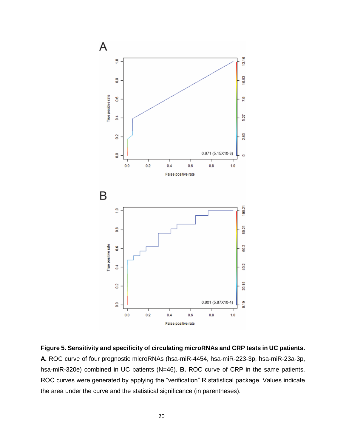